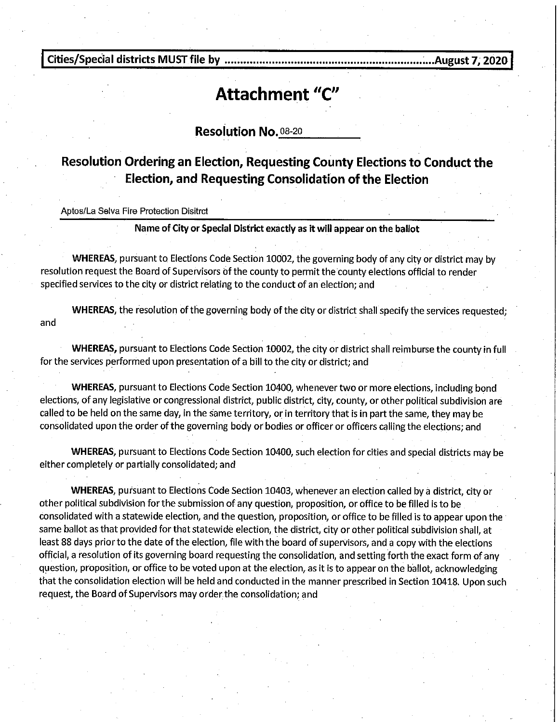**Cities/Special districts MUST file by ............................................................... ; ... August 7, 2020** 

## **Attachment "C"**

**Resolution No. 08-20** 

## **Resolution Ordering an Election, Requesting County Elections to Conduct the Election, and Requesting Consolidation of the Election**

Aptos/La Selva Fire Protection Disitrct

## **Name of City or Special District exactly as it will appear on the ballot**

**WHEREAS,** pursuant to Elections Code Section 10002, the governing body of any city or district may by resolution request the Board of Supervisors bf the county to permit the county elections official to render specified services to the city or district relating to the conduct of an election; and

**WHEREAS,** the resolution of the governing body of the city or district shall specify the services requested; and

**WHEREAS,** pursuant to Elections Code Section 10002, the city or district shall reimburse the county in full for the services performed upon presentation of a bill to the city or district; and

**WHEREAS,** pursuant to Elections Code Section 10400, whenever two or more elections, including bond elections, of any legislative or congressional district, public district, city, county, or other political subdivision are called to be held on the same day, in the same territory, or in territory that is in part the same, they may be consolidated upon the order of the governing body or bodies or officer or officers calling the elections; and

**WHEREAS,** pursuant to Elections Code Section 10400, such election for cities and special districts may be either completely or partially consolidated; and

**WHEREAS,** pursuant to Elections Code Section 10403, whenever an election called by a district, city or other political subdivision for the submission of any question, proposition, or office to be filled is to be consolidated with a statewide election, and the question, proposition, or office to be filled is to appear upon the same ballot as that provided for that statewide election, the district, city or other political subdivision shall, at least 88 days prior to the date of the election, file with the board of supervisors, and a copy with the elections official, a resolution of its governing board requesting the consolidation, and setting forth the exact form of any question, proposition, or office to be voted upon at the election, as it is to appear on the ballot, acknowledging that the consolidation election will be held and conducted in the manner prescribed in Section 10418. Upon such request, the Board of Supervisors may order the consolidation; and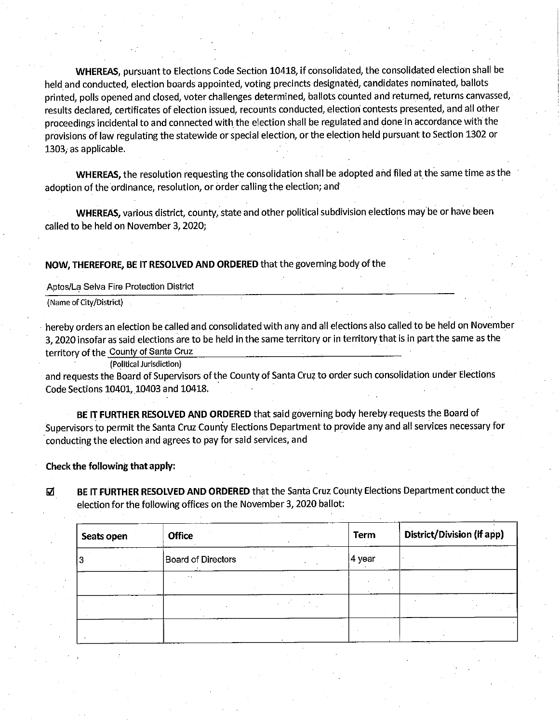**WHEREAS,** pursuant to Elections Code Section 10418, if consolidated, the consolidated election shall be held and conducted, election boards appointed, voting precincts designated, candidates nominated, ballots printed, polls opened and closed, voter challenges determined, ballots counted and returned, returns canvassed, results declared, certificates of election issued, recounts conducted, election contests presented, and all other proceedings incidental to and connected with the election shall be regulated and done in accordance with the provisions of law regulating the statewide or special election, or the election held pursuant to Section 1302 or 1303, as applicable.

**WHEREAS,** the resolution requesting the consolidation shall be adopted and filed at the same time as the adoption of the ordinance, resolution, or order calling the election; and·

**WHEREAS,** various district, county, state and other political subdivision elections may be or have been called to be held on November 3, 2020;

**NOW, THEREFORE, BE IT RESOLVED AND ORDERED** that the governing body of the

Aptos/La Selva Fire Protection District

(Name of City/District)

hereby orders an election be called and consolidated with any and all elections also called to be held on November 3, 2020 insofar as said elections are to be held in the same territory or in territory that is.in part the same as the territory of the County of Santa Cruz

(Political Jurisdiction)

and requests the Board of Supervisors of the County of Santa Cruz to order such consolidation under Elections Code Sections 10401, 10403 and 10418.

**BE IT FURTHER RESOLVED AND ORDERED** that said governing body hereby requests the Board of Supervisors to permit the Santa Cruz County Elections Department to provide any and all services necessary for · conducting the election and agrees to pay for said services, and

**Check the following that apply:** 

~ **BE IT.FURTHER RESOLVED AND ORDERED** that the Santa Cruz County Elections Department conduct the election for the following offices on the November 3, 2020 ballot:

| Seats open | <b>Office</b><br>14.40 | <b>Term</b> | District/Division (if app) |  |
|------------|------------------------|-------------|----------------------------|--|
| 13         | Board of Directors     | 4 year      |                            |  |
|            |                        |             |                            |  |
|            |                        |             |                            |  |
|            |                        |             |                            |  |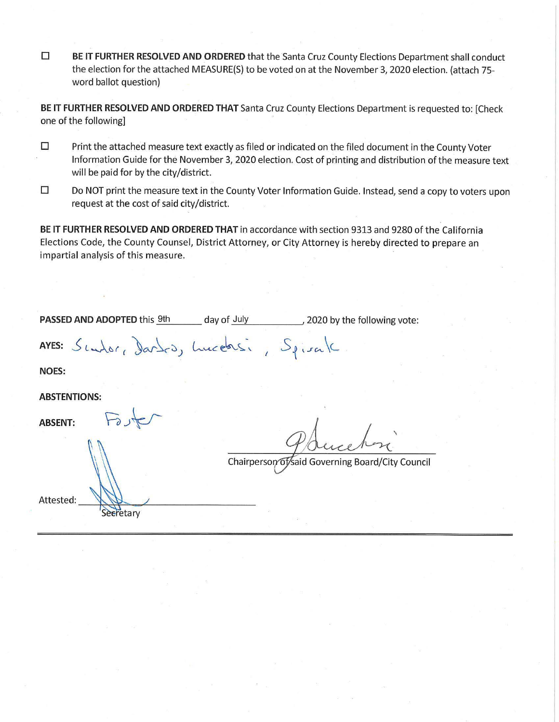□ **BE IT FURTHER RESOLVED AND ORDERED** that the Santa Cruz County Elections Department shall conduct the election for the attached MEASURE{S) to be voted on at the November 3, 2020 election. (attach 75 word ballot question)

**BE IT FURTHER RESOLVED AND ORDERED THAT** Santa Cruz County Elections Department is requested to: [Check one of the following]

- □ Print the attached measure text exactly as filed or indicated on the filed document in the County Voter Information Guide for the November 3, 2020 election. Cost of printing and distribution of the measure text will be paid for by the city/district.
- □ Do **NOT** print the measure text in the County Voter Information Guide. Instead, send a copy to voters upon request at the cost of said city/district.

**BE IT FURTHER RESOLVED AND ORDERED THAT** in accordance with section 9313 and 9280 of the California Elections Code, the County Counsel, District Attorney, or City Attorney is hereby directed to prepare an impartial analysis of this measure.

| PASSED AND ADOPTED this 9th              | day of July | 2020 by the following vote:                      |  |
|------------------------------------------|-------------|--------------------------------------------------|--|
| AYES: Sendor, Dardro, Lucebisi, Spirale. |             |                                                  |  |
| <b>NOES:</b>                             |             |                                                  |  |
| <b>ABSTENTIONS:</b>                      |             |                                                  |  |
| <b>ABSENT:</b>                           |             |                                                  |  |
|                                          |             | Chairperson of said Governing Board/City Council |  |
| Attested:<br>Secretary                   |             |                                                  |  |